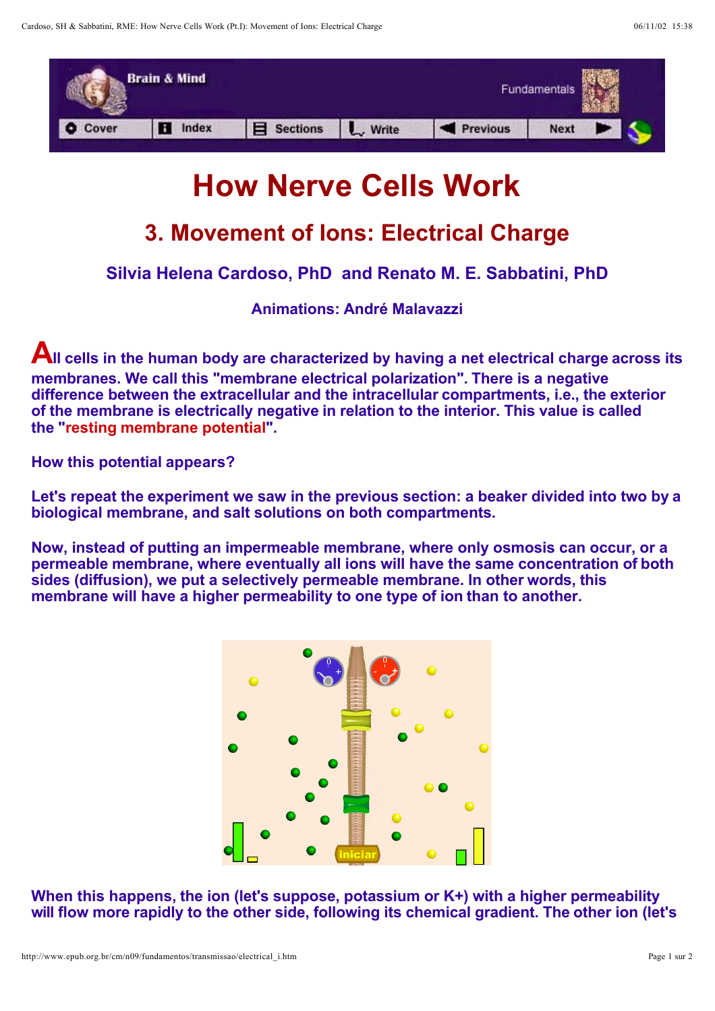

## **How Nerve Cells Work**

## **3. Movement of Ions: Electrical Charge**

**Silvia Helena Cardoso, PhD and Renato M. E. Sabbatini, PhD**

**Animations: André Malavazzi**

**All cells in the human body are characterized by having a net electrical charge across its membranes. We call this "membrane electrical polarization". There is a negative difference between the extracellular and the intracellular compartments, i.e., the exterior of the membrane is electrically negative in relation to the interior. This value is called the "resting membrane potential".**

**How this potential appears?**

**Let's repeat the experiment we saw in the previous section: a beaker divided into two by a biological membrane, and salt solutions on both compartments.**

**Now, instead of putting an impermeable membrane, where only osmosis can occur, or a permeable membrane, where eventually all ions will have the same concentration of both sides (diffusion), we put a selectively permeable membrane. In other words, this membrane will have a higher permeability to one type of ion than to another.**



**When this happens, the ion (let's suppose, potassium or K+) with a higher permeability will flow more rapidly to the other side, following its chemical gradient. The other ion (let's**